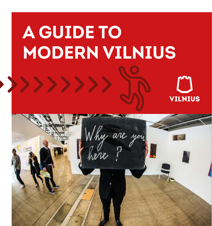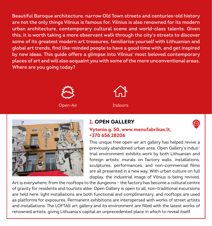**Beautiful Baroque architecture, narrow Old Town streets and centuries-old history are not the only things Vilnius is famous for. Vilnius is also renowned for its modern urban architecture, contemporary cultural scene and world-class talents. Given this, it is worth taking a more observant walk through the city's streets to discover some of its greatest modern art treasures, familiarise yourself with Lithuanian and global art trends, find like-minded people to have a good time with, and get inspired by new ideas. This guide offers a glimpse into Vilnius' most beloved contemporary places of art and will also acquaint you with some of the more unconventional areas. Where are you going today?**







## **1. OPEN GALLERY**



#### **Vytenio g. 50, www.menufabrikas.lt, +370 656 28206**

This unique free open-air art gallery has helped revive a previously abandoned urban area. Open Gallery's industrial environment exhibits work by both Lithuanian and foreign artists: murals on factory walls, installations, sculptures, performances, and non-commercial films are all presented in a new way. With urban culture on full display, the industrial image of Vilnius is being revived.

Art is everywhere; from the rooftops to the dungeons – the factory has become a cultural centre of gravity for residents and tourists alike. Open Gallery is open to all; non-traditional excursions are held here, light installations are both functional and complimentary, and rooftops are used as platforms for exposures. Permanent exhibitions are interspersed with works of street artists and installations. The LOFTAS art gallery and its environment are filled with the latest works of renowned artists, giving Lithuania's capital an unprecedented place in which to reveal itself.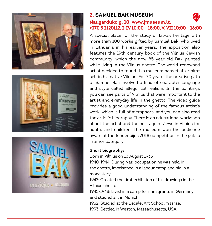



## **2. SAMUEL BAK MUSEUM**

## **Naugarduko g. 10, www.jmuseum.lt, +370 5 2120112, I-IV 10:00 – 18:00, V, VII 10:00 – 16:00**

A special place for the study of Litvak heritage with more than 100 works gifted by Samuel Bak, who lived in Lithuania in his earlier years. The exposition also features the 19th century book of the Vilnius Jewish community, which the now 85 year-old Bak painted while living in the Vilnius ghetto. The world-renowned artist decided to found this museum named after himself in his native Vilnius. For 70 years, the creative path of Samuel Bak involved a kind of character language and style called allegorical realism. In the paintings you can see parts of Vilnius that were important to the artist and everyday life in the ghetto. The video guide provides a good understanding of the famous artist's work, which is full of metaphors, and you can also read the artist's biography. There is an educational workshop about the artist and the heritage of Jews in Vilnius for adults and children. The museum won the audience award at the Tendencijos 2018 competition in the public interior category.

#### **Short biography:**

Born in Vilnius on 13 August 1933 1940-1944: During Nazi occupation he was held in the ghetto, imprisoned in a labour camp and hid in a monastery

1942: Created the first exhibition of his drawings in the Vilnius ghetto

1945-1948: Lived in a camp for immigrants in Germany and studied art in Munich

1952: Studied at the Becalel Art School in Israel

1993: Settled in Weston, Massachusetts, USA

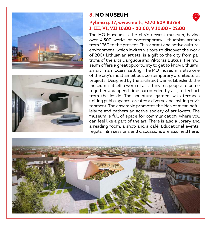



## **3. MO MUSEUM**

## **Pylimo g. 17, www.mo.lt, +370 609 83764, I, III, VI, VII 10:00 - 20:00, V 10:00 - 22:00**

The MO Museum is the city's newest museum, having over 4,500 works of contemporary Lithuanian artists from 1960 to the present. This vibrant and active cultural environment, which invites visitors to discover the work of 200+ Lithuanian artists, is a gift to the city from patrons of the arts Danguolė and Viktoras Butkus. The museum offers a great opportunity to get to know Lithuanian art in a modern setting. The MO museum is also one of the city's most ambitious contemporary architectural projects. Designed by the architect Daniel Libeskind, the museum is itself a work of art. It invites people to come together and spend time surrounded by art, to feel art from the inside. The sculptural garden, with terraces uniting public spaces, creates a diverse and inviting environment. The ensemble promotes the idea of meaningful leisure and gathers an active society of art lovers. The museum is full of space for communication, where you can feel like a part of the art. There is also a library and a reading room, a shop and a café. Educational events, regular film sessions and discussions are also held here.

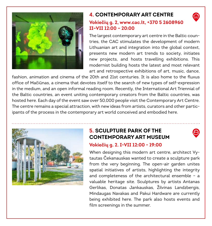

## **4. CONTEMPORARY ART CENTRE**

### **Vokiečių g. 2, www.cac.lt, +370 5 2608960 II–VII 12:00 – 20:00**

The largest contemporary art centre in the Baltic countries, the CAC stimulates the development of modern Lithuanian art and integration into the global context, presents new modern art trends to society, initiates new projects, and hosts travelling exhibitions. This modernist building hosts the latest and most relevant art and retrospective exhibitions of art, music, dance,

fashion, animation and cinema of the 20th and 21st centuries. It is also home to the fluxus office of Mačiūnas, a cinema that devotes itself to the search of new types of self-expression in the medium, and an open informal reading room. Recently, the International Art Triennial of the Baltic countries, an event uniting contemporary creators from the Baltic countries, was hosted here. Each day of the event saw over 50,000 people visit the Contemporary Art Centre. The centre remains a special attraction, with new ideas from artists, curators and other participants of the process in the contemporary art world conceived and embodied here.



## **5. SCULPTURE PARK OF THE CONTEMPORARY ART MUSEUM**



#### **Vokiečių g. 2. I-VII 12:00 - 19:00**

When designing this modern art centre, architect Vytautas Čekanauskas wanted to create a sculpture park from the very beginning. The open-air garden unites spatial initiatives of artists, highlighting the integrity and completeness of the architectural ensemble – a valuable heritage site. Sculptures by artists Antanas Gerlikas, Donatas Jankauskas, Žilvinas Landzbergis, Mindaugas Navakas and Pakui Hardware are currently being exhibited here. The park also hosts events and film screenings in the summer.

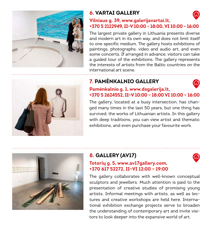

# **6. VARTAI GALLERY**



### **Vilniaus g. 39, www.galerijavartai.lt, +370 5 2122949, II-V 10:00 - 18:00, VI 10:00 - 16:00**

The largest private gallery in Lithuania presents diverse and modern art in its own way, and does not limit itself to one specific medium. The gallery hosts exhibitions of paintings, photographs, video and audio art, and even some concerts. If arranged in advance, visitors can take a guided tour of the exhibitions. The gallery represents the interests of artists from the Baltic countries on the international art scene.

# **7. PAMĖNKALNIO GALLERY**



#### **Pamėnkalnio g. 1, www.dsgalerija.lt, +370 5 2624552, II–V 10:00 – 18:00 VI 10:00 – 16:00**

The gallery, located at a busy intersection, has changed many times in the last 50 years, but one thing has survived; the works of Lithuanian artists. In this gallery with deep traditions, you can view artist and thematic exhibitions, and even purchase your favourite work.



# **8. GALLERY (AV17)**



## **Totorių g. 5, www.av17gallery.com, +370 617 52272, II–VI 12:00 – 19:00**

The gallery collaborates with well-known conceptual sculptors and jewellers. Much attention is paid to the presentation of creative studies of promising young artists. Informal meetings with artists, as well as lectures and creative workshops are held here. International exhibition exchange projects serve to broaden the understanding of contemporary art and invite visitors to look deeper into the expansive world of art.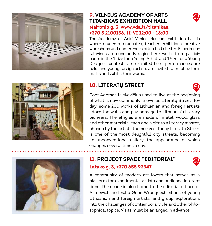

### **9. VILNIUS ACADEMY OF ARTS TITANIKAS EXHIBITION HALL Maironio g. 3, www.vda.lt/titanikas, +370 5 2100136, II-VI 12:00 - 18:00**



The Academy of Arts' Vilnius Museum exhibition hall is where students, graduates, teacher exhibitions, creative workshops and conferences often find shelter. Experimental winds are constantly raging here: works from participants in the 'Prize for a Young Artist' and 'Prize for a Young Designer' contests are exhibited here, performances are held, and young foreign artists are invited to practice their crafts and exhibit their works.



# **10. LITERATŲ STREET**

Poet Adomas Mickevičius used to live at the beginning of what is now commonly known as Literatų Street. Today, some 200 works of Lithuanian and foreign artists adorn the walls and pay homage to Lithuania's literary pioneers. The effigies are made of metal, wood, glass and other materials: each one a gift to a literary master, chosen by the artists themselves. Today Literatų Street is one of the most delightful city streets, becoming an unconventional gallery, the appearance of which changes several times a day.



## **11. PROJECT SPACE "EDITORIAL" Latako g. 3, +370 655 93347**



A community of modern art lovers that serves as a platform for experimental artists and audience interactions. The space is also home to the editorial offices of Artnews.lt and Echo Gone Wrong; exhibitions of young Lithuanian and foreign artists; and group explorations into the challenges of contemporary life and other philosophical topics. Visits must be arranged in advance.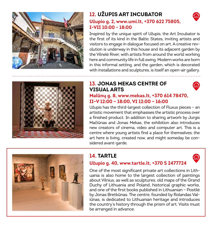

# **12. UŽUPIS ART INCUBATOR**



#### **Užupio g. 2, www.umi.lt, +370 622 75805, I-VII 10:00 - 18:00**

Inspired by the unique spirit of Užupis, the Art Incubator is the first of its kind in the Baltic States, inviting artists and visitors to engage in dialogue focused on art. A creative revolution is underway in this house and its adjacent garden by the Vilnelė River, with artists from around the world working here and community life in full swing. Modern works are born in this informal setting, and the garden, which is decorated with installations and sculptures, is itself an open-air gallery.



## **13. JONAS MEKAS CENTRE OF VISUAL ARTS**



### **Malūnų g. 8, www.mekas.lt, +370 614 78470, II–V 12:00 – 18:00, VI 12:00 – 16:00**

Užupis has the third-largest collection of Fluxus pieces – an artistic movement that emphasises the artistic process over a finished product. In addition to sharing artwork by Jurgis Mačiūnas and Jonas Mekas, the exhibition also introduces new creators of cinema, video and computer art. This is a centre where young artists find a place for themselves; the art here is living, created now, and might someday be considered avant-garde.



# **14. TARTLE**

## **Užupio g. 40, www.tartle.lt, +370 5 2477724**

One of the most significant private art collections in Lithuania is also home to the largest collection of paintings about Vilnius, as well as sculptures, old maps of the Grand Duchy of Lithuania and Poland, historical graphic works, and one of the first books published in Lithuanian – Postilė by Jonas Bretkūnas. The centre, founded by Rolandas Valiūnas, is dedicated to Lithuanian heritage and introduces the country's history through the prism of art. Visits must be arranged in advance.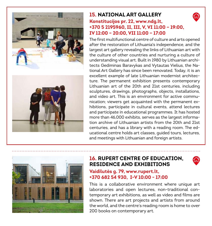

## **15. NATIONAL ART GALLERY Konstitucijos pr. 22, www.ndg.lt, +370 5 2195960, II, III, V, VI 11:00 – 19:00, IV 12:00 – 20:00, VII 11:00 – 17:00**

The first multifunctional centre of culture and arts opened after the restoration of Lithuania's independence, and the largest art gallery revealing the links of Lithuanian art with the culture of other countries and nurturing a culture of understanding visual art. Built in 1980 by Lithuanian architects Gediminas Baravykas and Vytautas Vielius, the National Art Gallery has since been renovated. Today, it is an excellent example of late Lithuanian modernist architecture. The permanent exhibition presents contemporary Lithuanian art of the 20th and 21st centuries, including sculptures, drawings, photographs, objects, installations, and video art. This is an environment for active communication; viewers get acquainted with the permanent exhibitions, participate in cultural events, attend lectures and participate in educational programmes. It has hosted more than 46,000 exhibits, serves as the largest information archive of Lithuanian artists from the 20th and 21st centuries, and has a library with a reading room. The educational centre holds art classes, guided tours, lectures, and meetings with Lithuanian and foreign artists.



## **16. RUPERT CENTRE OF EDUCATION, RESIDENCE AND EXHIBITIONS**



#### **Vaidilutės g. 79, www.rupert.lt, +370 682 54 930, I-V 10:00 - 17:00**

This is a collaborative environment where unique art laboratories and open lectures, non-traditional contemporary art exhibitions, as well as video and films are shown. There are art projects and artists from around the world, and the centre's reading room is home to over 200 books on contemporary art.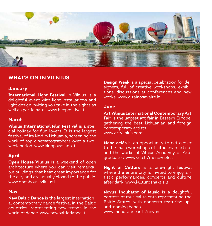

## **WHAT'S ON IN VILNIUS**

#### **January**

**International Light Festival** in Vilnius is a delightful event with light installations and light design inviting you take in the sights as well as participate. www.beepositive.lt

#### **March**

**Vilnius International Film Festival** is a special holiday for film lovers. It is the largest festival of its kind in Lithuania, screening the work of top cinematographers over a twoweek period. www.kinopavasaris.lt

#### **April**

**Open House Vilnius** is a weekend of open architecture where you can visit remarkable buildings that bear great importance for the city and are usually closed to the public. www.openhousevilnius.lt

#### **May**

**New Baltic Dance** is the largest international contemporary dance festival in the Baltic countries, representing new trends in the world of dance. www.newhalticdance.lt

**Design Week** is a special celebration for designers, full of creative workshops, exhibitions, discussions at conferences and new works. www.dizainosavaite.lt

#### **June**

**Art Vilnius International Contemporary Art Fair** is the largest art fair in Eastern Europe, gathering the best Lithuanian and foreign contemporary artists. www.artvilnius.com

**Meno celės** is an opportunity to get closer to the main workshops of Lithuanian artists and the works of Vilnius Academy of Arts graduates. www.vda.lt/meno-celes

**Night of Culture** is a one-night festival where the entire city is invited to enjoy artistic performances, concerts and culture after dark. www.kulturosnaktis.lt

**Novus Incubator of Music** is a delightful contest of musical talents representing the Baltic States, with concerts featuring upand-coming bands. www.menufabrikas.lt/novus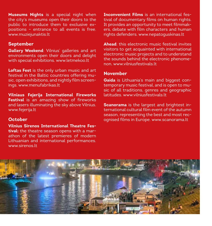**Museums Nights** is a special night when the city's museums open their doors to the public to introduce them to exclusive expositions – entrance to all events is free. www.muziejunaktis.lt

#### **September**

**Gallery Weekend**: Vilnius' galleries and art environments open their doors and delight with special exhibitions. www.letmekoo.lt

**Loftas Fest** is the only urban music and art festival in the Baltic countries offering music, open exhibitions, and nightly film screenings. www.menufabrikas.lt

**Vilniaus Fejerija International Fireworks Festival** is an amazing show of fireworks and lasers illuminating the sky above Vilnius. www.fejerija.lt

#### **October**

**Vilnius Sirenos International Theatre Festival:** the theatre season opens with a marathon of the latest premieres of modern Lithuanian and international performances. www.sirenos.lt

**Inconvenient Films** is an international festival of documentary films on human rights. It provides an opportunity to meet filmmakers, debate with film characters and human rights defenders. www.nepatoguskinas.lt

**Ahead**: this electronic music festival invites visitors to get acquainted with international electronic music projects and to understand the sounds behind the electronic phenomenon. www.vilniusfestivals.lt

#### **November**

**Gaida** is Lithuania's main and biggest contemporary music festival, and is open to music of all traditions, genres and geographic latitudes. www.vilniusfestivals.lt

**Scanorama** is the largest and brightest international cultural film event of the autumn season, representing the best and most recognised films in Europe. www.scanorama.lt